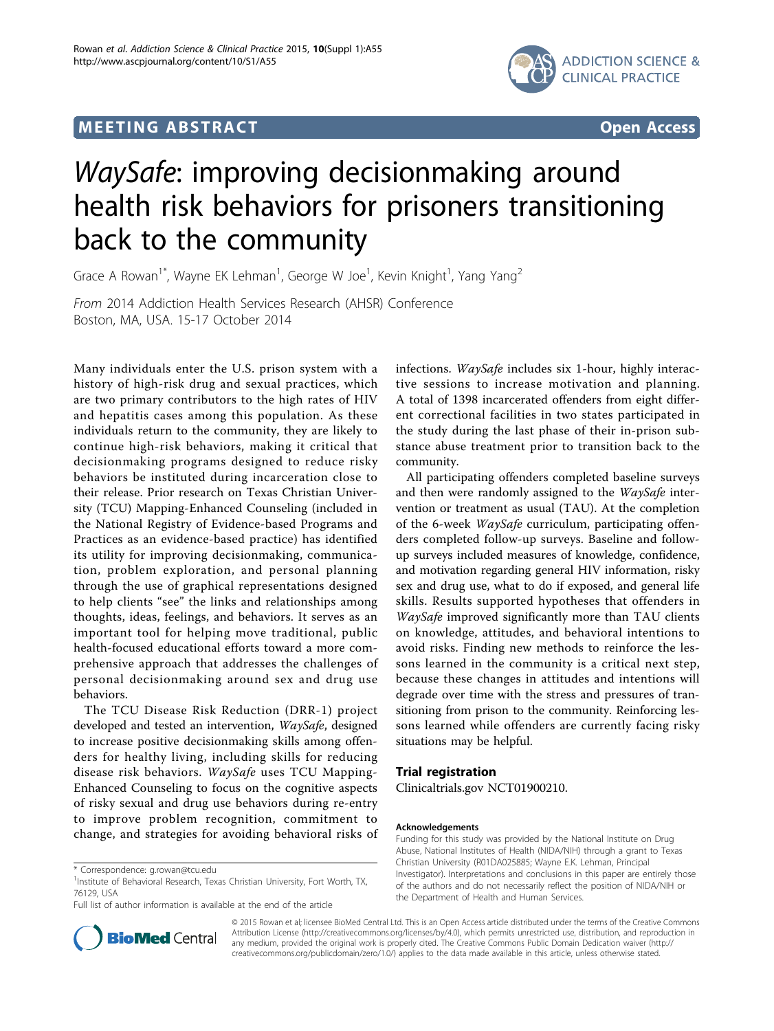## $\mathbf{F} = \mathbf{F} \mathbf{F}$  . The experimental state of  $\mathbf{F}$  tractation  $\mathbf{F}$



# WaySafe: improving decisionmaking around health risk behaviors for prisoners transitioning back to the community

Grace A Rowan<sup>1\*</sup>, Wayne EK Lehman<sup>1</sup>, George W Joe<sup>1</sup>, Kevin Knight<sup>1</sup>, Yang Yang<sup>2</sup>

From 2014 Addiction Health Services Research (AHSR) Conference Boston, MA, USA. 15-17 October 2014

Many individuals enter the U.S. prison system with a history of high-risk drug and sexual practices, which are two primary contributors to the high rates of HIV and hepatitis cases among this population. As these individuals return to the community, they are likely to continue high-risk behaviors, making it critical that decisionmaking programs designed to reduce risky behaviors be instituted during incarceration close to their release. Prior research on Texas Christian University (TCU) Mapping-Enhanced Counseling (included in the National Registry of Evidence-based Programs and Practices as an evidence-based practice) has identified its utility for improving decisionmaking, communication, problem exploration, and personal planning through the use of graphical representations designed to help clients "see" the links and relationships among thoughts, ideas, feelings, and behaviors. It serves as an important tool for helping move traditional, public health-focused educational efforts toward a more comprehensive approach that addresses the challenges of personal decisionmaking around sex and drug use behaviors.

The TCU Disease Risk Reduction (DRR-1) project developed and tested an intervention, WaySafe, designed to increase positive decisionmaking skills among offenders for healthy living, including skills for reducing disease risk behaviors. WaySafe uses TCU Mapping-Enhanced Counseling to focus on the cognitive aspects of risky sexual and drug use behaviors during re-entry to improve problem recognition, commitment to change, and strategies for avoiding behavioral risks of infections. WaySafe includes six 1-hour, highly interactive sessions to increase motivation and planning. A total of 1398 incarcerated offenders from eight different correctional facilities in two states participated in the study during the last phase of their in-prison substance abuse treatment prior to transition back to the community.

All participating offenders completed baseline surveys and then were randomly assigned to the  $WaySafe$  intervention or treatment as usual (TAU). At the completion of the 6-week WaySafe curriculum, participating offenders completed follow-up surveys. Baseline and followup surveys included measures of knowledge, confidence, and motivation regarding general HIV information, risky sex and drug use, what to do if exposed, and general life skills. Results supported hypotheses that offenders in WaySafe improved significantly more than TAU clients on knowledge, attitudes, and behavioral intentions to avoid risks. Finding new methods to reinforce the lessons learned in the community is a critical next step, because these changes in attitudes and intentions will degrade over time with the stress and pressures of transitioning from prison to the community. Reinforcing lessons learned while offenders are currently facing risky situations may be helpful.

Clinicaltrials.gov NCT01900210.

#### Acknowledgements

Funding for this study was provided by the National Institute on Drug Abuse, National Institutes of Health (NIDA/NIH) through a grant to Texas Christian University (R01DA025885; Wayne E.K. Lehman, Principal Investigator). Interpretations and conclusions in this paper are entirely those of the authors and do not necessarily reflect the position of NIDA/NIH or the Department of Health and Human Services.



© 2015 Rowan et al; licensee BioMed Central Ltd. This is an Open Access article distributed under the terms of the Creative Commons Attribution License [\(http://creativecommons.org/licenses/by/4.0](http://creativecommons.org/licenses/by/4.0)), which permits unrestricted use, distribution, and reproduction in any medium, provided the original work is properly cited. The Creative Commons Public Domain Dedication waiver [\(http://](http://creativecommons.org/publicdomain/zero/1.0/) [creativecommons.org/publicdomain/zero/1.0/](http://creativecommons.org/publicdomain/zero/1.0/)) applies to the data made available in this article, unless otherwise stated.

<sup>\*</sup> Correspondence: [g.rowan@tcu.edu](mailto:g.rowan@tcu.edu)

<sup>&</sup>lt;sup>1</sup>Institute of Behavioral Research, Texas Christian University, Fort Worth, TX, 76129, USA

Full list of author information is available at the end of the article